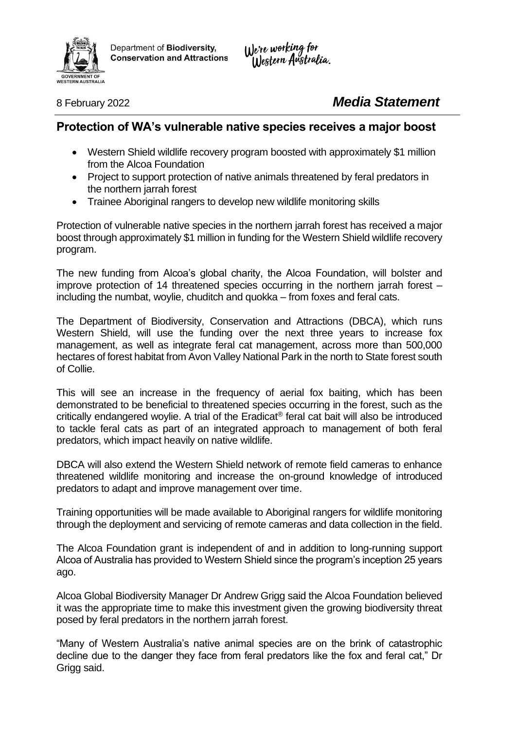

Department of Biodiversity, **Conservation and Attractions**  We're working for<br>Western Australia.

8 February 2022 *Media Statement*

## **Protection of WA's vulnerable native species receives a major boost**

- Western Shield wildlife recovery program boosted with approximately \$1 million from the Alcoa Foundation
- Project to support protection of native animals threatened by feral predators in the northern jarrah forest
- Trainee Aboriginal rangers to develop new wildlife monitoring skills

Protection of vulnerable native species in the northern jarrah forest has received a major boost through approximately \$1 million in funding for the Western Shield wildlife recovery program.

The new funding from Alcoa's global charity, the Alcoa Foundation, will bolster and improve protection of 14 threatened species occurring in the northern jarrah forest – including the numbat, woylie, chuditch and quokka – from foxes and feral cats.

The Department of Biodiversity, Conservation and Attractions (DBCA), which runs Western Shield, will use the funding over the next three years to increase fox management, as well as integrate feral cat management, across more than 500,000 hectares of forest habitat from Avon Valley National Park in the north to State forest south of Collie.

This will see an increase in the frequency of aerial fox baiting, which has been demonstrated to be beneficial to threatened species occurring in the forest, such as the critically endangered woylie. A trial of the Eradicat<sup>®</sup> feral cat bait will also be introduced to tackle feral cats as part of an integrated approach to management of both feral predators, which impact heavily on native wildlife.

DBCA will also extend the Western Shield network of remote field cameras to enhance threatened wildlife monitoring and increase the on-ground knowledge of introduced predators to adapt and improve management over time.

Training opportunities will be made available to Aboriginal rangers for wildlife monitoring through the deployment and servicing of remote cameras and data collection in the field.

The Alcoa Foundation grant is independent of and in addition to long-running support Alcoa of Australia has provided to Western Shield since the program's inception 25 years ago.

Alcoa Global Biodiversity Manager Dr Andrew Grigg said the Alcoa Foundation believed it was the appropriate time to make this investment given the growing biodiversity threat posed by feral predators in the northern jarrah forest.

"Many of Western Australia's native animal species are on the brink of catastrophic decline due to the danger they face from feral predators like the fox and feral cat," Dr Grigg said.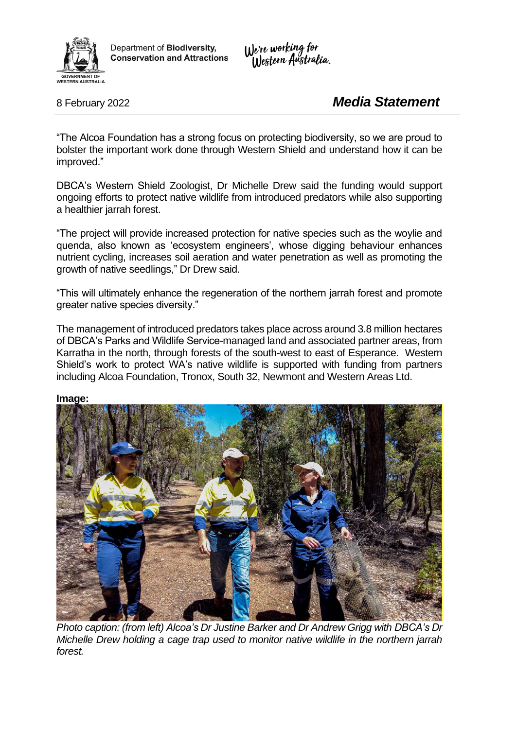

Department of Biodiversity, **Conservation and Attractions**  We're working for<br>Western Australia.

8 February 2022 *Media Statement*

"The Alcoa Foundation has a strong focus on protecting biodiversity, so we are proud to bolster the important work done through Western Shield and understand how it can be improved."

DBCA's Western Shield Zoologist, Dr Michelle Drew said the funding would support ongoing efforts to protect native wildlife from introduced predators while also supporting a healthier jarrah forest.

"The project will provide increased protection for native species such as the woylie and quenda, also known as 'ecosystem engineers', whose digging behaviour enhances nutrient cycling, increases soil aeration and water penetration as well as promoting the growth of native seedlings," Dr Drew said.

"This will ultimately enhance the regeneration of the northern jarrah forest and promote greater native species diversity."

The management of introduced predators takes place across around 3.8 million hectares of DBCA's Parks and Wildlife Service-managed land and associated partner areas, from Karratha in the north, through forests of the south-west to east of Esperance. Western Shield's work to protect WA's native wildlife is supported with funding from partners including Alcoa Foundation, Tronox, South 32, Newmont and Western Areas Ltd.

## **Image:**



*Photo caption: (from left) Alcoa's Dr Justine Barker and Dr Andrew Grigg with DBCA's Dr Michelle Drew holding a cage trap used to monitor native wildlife in the northern jarrah forest.*